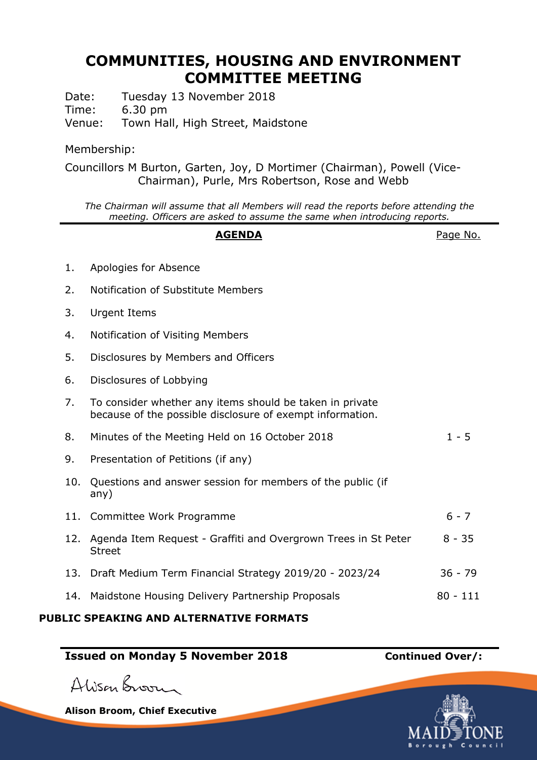## **COMMUNITIES, HOUSING AND ENVIRONMENT COMMITTEE MEETING**

Date: Tuesday 13 November 2018 Time: 6.30 pm Venue: Town Hall, High Street, Maidstone

Membership:

Councillors M Burton, Garten, Joy, D Mortimer (Chairman), Powell (Vice-Chairman), Purle, Mrs Robertson, Rose and Webb

*The Chairman will assume that all Members will read the reports before attending the meeting. Officers are asked to assume the same when introducing reports.*

## **AGENDA** Page No. 1. Apologies for Absence 2. Notification of Substitute Members 3. Urgent Items 4. Notification of Visiting Members 5. Disclosures by Members and Officers 6. Disclosures of Lobbying 7. To consider whether any items should be taken in private because of the possible disclosure of exempt information. 8. Minutes of the Meeting Held on 16 October 2018 1 - 5 9. Presentation of Petitions (if any) 10. Questions and answer session for members of the public (if any) 11. Committee Work Programme 6 - 7 12. Agenda Item Request - Graffiti and Overgrown Trees in St Peter Street 8 - 35 13. Draft Medium Term Financial Strategy 2019/20 - 2023/24 36 - 79 14. Maidstone Housing Delivery Partnership Proposals 80 - 111

## **PUBLIC SPEAKING AND ALTERNATIVE FORMATS**

## **Issued on Monday 5 November 2018 Continued Over/:**

Alison Broom

**Alison Broom, Chief Executive**